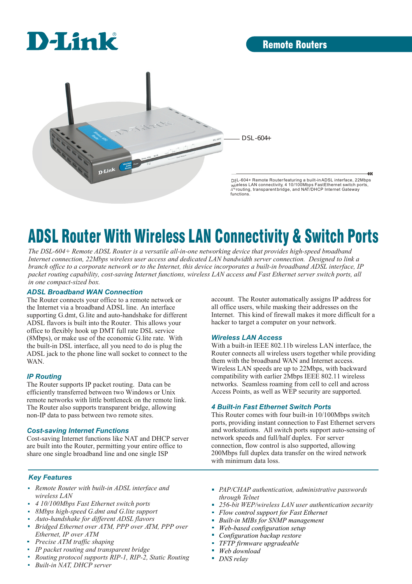

DSL-604+

DSL-604+ Remote Routerfeaturing a built-inADSL interface, 22Mbps<br>wireless LAN connectivity, 4 10/100Mbps FastEthernet switch ports,<br>/iP routing, transparentbridge, and NAT/DHCP Internet Gateway functions.

 $\alpha$ 

# ADSL Router With Wireless LAN Connectivity & Switch Ports

*The DSL-604+ Remote ADSL Router is a versatile all-in-one networking device that provides high-speed broadband Internet connection, 22Mbps wireless user access and dedicated LAN bandwidth server connection. Designed to link a branch office to a corporate network or to the Internet, this device incorporates a built-in broadband ADSL interface, IP packet routing capability, cost-saving Internet functions, wireless LAN access and Fast Ethernet server switch ports, all in one compact-sized box.*

#### *ADSL Broadband WAN Connection*

The Router connects your office to a remote network or the Internet via a broadband ADSL line. An interface supporting G.dmt, G.lite and auto-handshake for different ADSL flavors is built into the Router. This allows your office to flexibly hook up DMT full rate DSL service (8Mbps), or make use of the economic G.lite rate. With the built-in DSL interface, all you need to do is plug the ADSL jack to the phone line wall socket to connect to the WAN.

 $D$ -Link

### *IP Routing*

The Router supports IP packet routing. Data can be efficiently transferred between two Windows or Unix remote networks with little bottleneck on the remote link. The Router also supports transparent bridge, allowing non-IP data to pass between two remote sites.

### *Cost-saving Internet Functions*

Cost-saving Internet functions like NAT and DHCP server are built into the Router, permitting your entire office to share one single broadband line and one single ISP

account. The Router automatically assigns IP address for all office users, while masking their addresses on the Internet. This kind of firewall makes it more difficult for a hacker to target a computer on your network.

### *Wireless LAN Access*

With a built-in IEEE 802.11b wireless LAN interface, the Router connects all wireless users together while providing them with the broadband WAN and Internet access. Wireless LAN speeds are up to 22Mbps, with backward compatibility with earlier 2Mbps IEEE 802.11 wireless networks. Seamless roaming from cell to cell and across Access Points, as well as WEP security are supported.

### *4 Built-in Fast Ethernet Switch Ports*

This Router comes with four built-in 10/100Mbps switch ports, providing instant connection to Fast Ethernet servers and workstations. All switch ports support auto-sensing of network speeds and full/half duplex. For server connection, flow control is also supported, allowing 200Mbps full duplex data transfer on the wired network with minimum data loss.

### *Key Features*

- *Remote Router with built-in ADSL interface and wireless LAN*
- *4 10/100Mbps Fast Ethernet switch ports*
- *8Mbps high-speed G.dmt and G.lite support*  $\blacksquare$
- *Auto-handshake for different ADSL flavors* 'n
- 'n *Bridged Ethernet over ATM, PPP over ATM, PPP over Ethernet, IP over ATM*
- *Precise ATM traffic shaping*
- *IP packet routing and transparent bridge*
- *Routing protocol supports RIP-1, RIP-2, Static Routing*
- *Built-in NAT, DHCP server*
- *PAP/CHAP authentication, administrative passwords through Telnet*
- *256-bit WEP/wireless LAN user authentication security*
- *Flow control support for Fast Ethernet*
- *Built-in MIBs for SNMP management*
- *Web-based configuration setup*
- *Configuration backup restore*
- *TFTP firmware upgradeable*
- *Web download*
- *DNS relay*